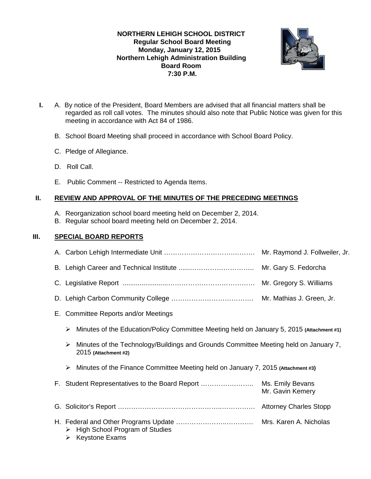## **NORTHERN LEHIGH SCHOOL DISTRICT Regular School Board Meeting Monday, January 12, 2015 Northern Lehigh Administration Building Board Room 7:30 P.M.**



- **I.** A. By notice of the President, Board Members are advised that all financial matters shall be regarded as roll call votes. The minutes should also note that Public Notice was given for this meeting in accordance with Act 84 of 1986.
	- B. School Board Meeting shall proceed in accordance with School Board Policy.
	- C. Pledge of Allegiance.
	- D. Roll Call.
	- E. Public Comment -- Restricted to Agenda Items.

### **II. REVIEW AND APPROVAL OF THE MINUTES OF THE PRECEDING MEETINGS**

- A. Reorganization school board meeting held on December 2, 2014.
- B. Regular school board meeting held on December 2, 2014.

## **III. SPECIAL BOARD REPORTS**

|                                                                        |                                                                                                              | Mr. Raymond J. Follweiler, Jr. |  |  |  |  |
|------------------------------------------------------------------------|--------------------------------------------------------------------------------------------------------------|--------------------------------|--|--|--|--|
|                                                                        |                                                                                                              |                                |  |  |  |  |
|                                                                        |                                                                                                              |                                |  |  |  |  |
|                                                                        |                                                                                                              |                                |  |  |  |  |
| E. Committee Reports and/or Meetings                                   |                                                                                                              |                                |  |  |  |  |
| ≻                                                                      | Minutes of the Education/Policy Committee Meeting held on January 5, 2015 (Attachment #1)                    |                                |  |  |  |  |
| ≻                                                                      | Minutes of the Technology/Buildings and Grounds Committee Meeting held on January 7,<br>2015 (Attachment #2) |                                |  |  |  |  |
| ≻                                                                      | Minutes of the Finance Committee Meeting held on January 7, 2015 (Attachment #3)                             |                                |  |  |  |  |
|                                                                        |                                                                                                              | Mr. Gavin Kemery               |  |  |  |  |
|                                                                        |                                                                                                              |                                |  |  |  |  |
| High School Program of Studies<br>➤<br>$\triangleright$ Keystone Exams |                                                                                                              |                                |  |  |  |  |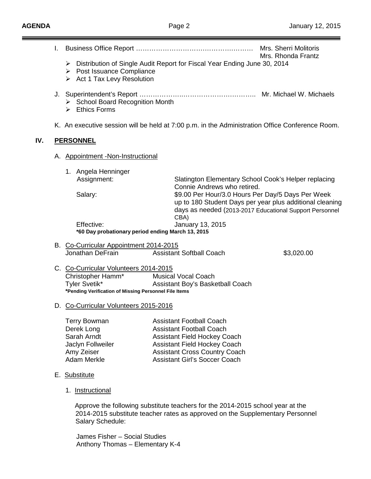|  | L.                                                                                                                                                                            |                                                                                                                                      |                                                                                                                                                                                                                                  | Mrs. Sherri Molitoris                                                                                               |  |
|--|-------------------------------------------------------------------------------------------------------------------------------------------------------------------------------|--------------------------------------------------------------------------------------------------------------------------------------|----------------------------------------------------------------------------------------------------------------------------------------------------------------------------------------------------------------------------------|---------------------------------------------------------------------------------------------------------------------|--|
|  | Mrs. Rhonda Frantz<br>Distribution of Single Audit Report for Fiscal Year Ending June 30, 2014<br>➤<br>$\triangleright$ Post Issuance Compliance<br>Act 1 Tax Levy Resolution |                                                                                                                                      |                                                                                                                                                                                                                                  |                                                                                                                     |  |
|  |                                                                                                                                                                               | > School Board Recognition Month<br><b>Ethics Forms</b><br>➤                                                                         |                                                                                                                                                                                                                                  |                                                                                                                     |  |
|  | K. An executive session will be held at 7:00 p.m. in the Administration Office Conference Room.<br>IV.<br><b>PERSONNEL</b>                                                    |                                                                                                                                      |                                                                                                                                                                                                                                  |                                                                                                                     |  |
|  |                                                                                                                                                                               |                                                                                                                                      |                                                                                                                                                                                                                                  |                                                                                                                     |  |
|  |                                                                                                                                                                               |                                                                                                                                      |                                                                                                                                                                                                                                  |                                                                                                                     |  |
|  |                                                                                                                                                                               | 1. Angela Henninger                                                                                                                  |                                                                                                                                                                                                                                  |                                                                                                                     |  |
|  |                                                                                                                                                                               | Assignment:                                                                                                                          |                                                                                                                                                                                                                                  | Slatington Elementary School Cook's Helper replacing                                                                |  |
|  |                                                                                                                                                                               | Salary:                                                                                                                              | Connie Andrews who retired.<br>\$9.00 Per Hour/3.0 Hours Per Day/5 Days Per Week                                                                                                                                                 | up to 180 Student Days per year plus additional cleaning<br>days as needed (2013-2017 Educational Support Personnel |  |
|  |                                                                                                                                                                               |                                                                                                                                      | CBA)                                                                                                                                                                                                                             |                                                                                                                     |  |
|  | Effective:<br>January 13, 2015<br>*60 Day probationary period ending March 13, 2015                                                                                           |                                                                                                                                      |                                                                                                                                                                                                                                  |                                                                                                                     |  |
|  | B. Co-Curricular Appointment 2014-2015                                                                                                                                        |                                                                                                                                      |                                                                                                                                                                                                                                  |                                                                                                                     |  |
|  |                                                                                                                                                                               | Jonathan DeFrain                                                                                                                     | <b>Assistant Softball Coach</b>                                                                                                                                                                                                  | \$3,020.00                                                                                                          |  |
|  |                                                                                                                                                                               | C. Co-Curricular Volunteers 2014-2015<br>Christopher Hamm*<br>Tyler Svetik*<br>*Pending Verification of Missing Personnel File Items | <b>Musical Vocal Coach</b><br>Assistant Boy's Basketball Coach                                                                                                                                                                   |                                                                                                                     |  |
|  | D. Co-Curricular Volunteers 2015-2016                                                                                                                                         |                                                                                                                                      |                                                                                                                                                                                                                                  |                                                                                                                     |  |
|  |                                                                                                                                                                               | <b>Terry Bowman</b><br>Derek Long<br>Sarah Arndt<br>Jaclyn Follweiler<br>Amy Zeiser<br><b>Adam Merkle</b>                            | <b>Assistant Football Coach</b><br><b>Assistant Football Coach</b><br><b>Assistant Field Hockey Coach</b><br><b>Assistant Field Hockey Coach</b><br><b>Assistant Cross Country Coach</b><br><b>Assistant Girl's Soccer Coach</b> |                                                                                                                     |  |
|  |                                                                                                                                                                               | E. Substitute                                                                                                                        |                                                                                                                                                                                                                                  |                                                                                                                     |  |
|  |                                                                                                                                                                               | 1. Instructional                                                                                                                     |                                                                                                                                                                                                                                  |                                                                                                                     |  |

 Approve the following substitute teachers for the 2014-2015 school year at the 2014-2015 substitute teacher rates as approved on the Supplementary Personnel Salary Schedule:

James Fisher – Social Studies Anthony Thomas – Elementary K-4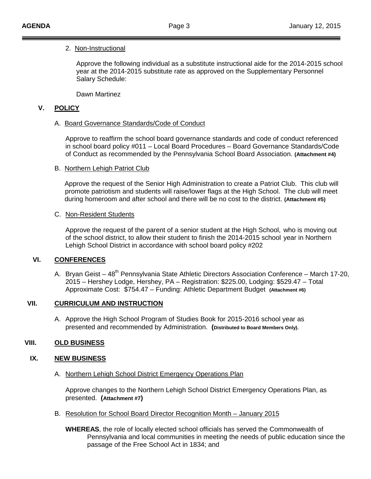# 2. <u>Non-Instructional</u>

Approve the following individual as a substitute instructional aide for the 2014-2015 school year at the 2014-2015 substitute rate as approved on the Supplementary Personnel Salary Schedule:

Dawn Martinez

#### **V. POLICY**

### A. Board Governance Standards/Code of Conduct

Approve to reaffirm the school board governance standards and code of conduct referenced in school board policy #011 – Local Board Procedures – Board Governance Standards/Code of Conduct as recommended by the Pennsylvania School Board Association. **(Attachment #4)**

### B. Northern Lehigh Patriot Club

Approve the request of the Senior High Administration to create a Patriot Club. This club will promote patriotism and students will raise/lower flags at the High School. The club will meet during homeroom and after school and there will be no cost to the district. **(Attachment #5)**

## C. Non-Resident Students

Approve the request of the parent of a senior student at the High School, who is moving out of the school district, to allow their student to finish the 2014-2015 school year in Northern Lehigh School District in accordance with school board policy #202

## **VI. CONFERENCES**

A. Bryan Geist – 48<sup>th</sup> Pennsylvania State Athletic Directors Association Conference – March 17-20, 2015 – Hershey Lodge, Hershey, PA – Registration: \$225.00, Lodging: \$529.47 – Total Approximate Cost: \$754.47 – Funding: Athletic Department Budget **(Attachment #6)**

### **VII. CURRICULUM AND INSTRUCTION**

A. Approve the High School Program of Studies Book for 2015-2016 school year as presented and recommended by Administration. **(Distributed to Board Members Only).** 

### **VIII. OLD BUSINESS**

### **IX. NEW BUSINESS**

A. Northern Lehigh School District Emergency Operations Plan

Approve changes to the Northern Lehigh School District Emergency Operations Plan, as presented. **(Attachment #7)**

B. Resolution for School Board Director Recognition Month – January 2015

**WHEREAS**, the role of locally elected school officials has served the Commonwealth of Pennsylvania and local communities in meeting the needs of public education since the passage of the Free School Act in 1834; and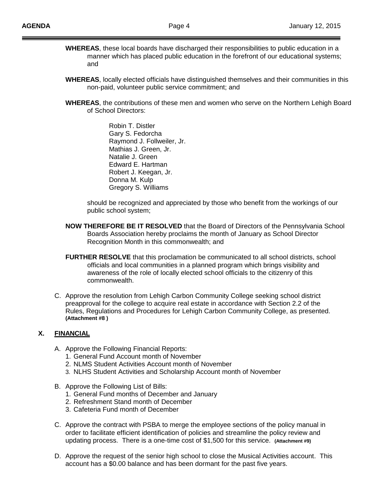- **WHEREAS**, these local boards have discharged their responsibilities to public education in a manner which has placed public education in the forefront of our educational systems; and
- **WHEREAS**, locally elected officials have distinguished themselves and their communities in this non-paid, volunteer public service commitment; and
- **WHEREAS**, the contributions of these men and women who serve on the Northern Lehigh Board of School Directors:

Robin T. Distler Gary S. Fedorcha Raymond J. Follweiler, Jr. Mathias J. Green, Jr. Natalie J. Green Edward E. Hartman Robert J. Keegan, Jr. Donna M. Kulp Gregory S. Williams

should be recognized and appreciated by those who benefit from the workings of our public school system;

- **NOW THEREFORE BE IT RESOLVED** that the Board of Directors of the Pennsylvania School Boards Association hereby proclaims the month of January as School Director Recognition Month in this commonwealth; and
- **FURTHER RESOLVE** that this proclamation be communicated to all school districts, school officials and local communities in a planned program which brings visibility and awareness of the role of locally elected school officials to the citizenry of this commonwealth.
- C. Approve the resolution from Lehigh Carbon Community College seeking school district preapproval for the college to acquire real estate in accordance with Section 2.2 of the Rules, Regulations and Procedures for Lehigh Carbon Community College, as presented. **(Attachment #8 )**

### **X. FINANCIAL**

- A. Approve the Following Financial Reports:
	- 1. General Fund Account month of November
	- 2. NLMS Student Activities Account month of November
	- 3. NLHS Student Activities and Scholarship Account month of November
- B. Approve the Following List of Bills:
	- 1. General Fund months of December and January
	- 2. Refreshment Stand month of December
	- 3. Cafeteria Fund month of December
- C. Approve the contract with PSBA to merge the employee sections of the policy manual in order to facilitate efficient identification of policies and streamline the policy review and updating process. There is a one-time cost of \$1,500 for this service. **(Attachment #9)**
- D. Approve the request of the senior high school to close the Musical Activities account. This account has a \$0.00 balance and has been dormant for the past five years.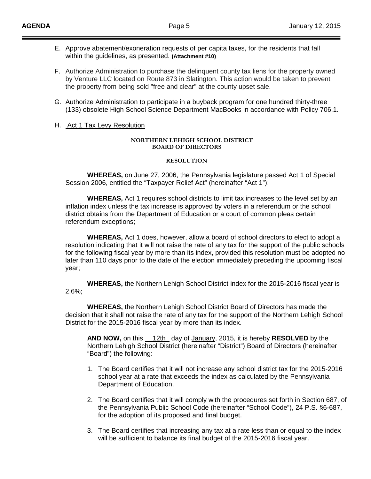- E. Approve abatement/exoneration requests of per capita taxes, for the residents that fall within the guidelines, as presented. **(Attachment #10)**
- F. Authorize Administration to purchase the delinquent county tax liens for the property owned by Venture LLC located on Route 873 in Slatington. This action would be taken to prevent the property from being sold "free and clear" at the county upset sale.
- G. Authorize Administration to participate in a buyback program for one hundred thirty-three (133) obsolete High School Science Department MacBooks in accordance with Policy 706.1.

#### H. Act 1 Tax Levy Resolution

#### **NORTHERN LEHIGH SCHOOL DISTRICT BOARD OF DIRECTORS**

#### **RESOLUTION**

**WHEREAS,** on June 27, 2006, the Pennsylvania legislature passed Act 1 of Special Session 2006, entitled the "Taxpayer Relief Act" (hereinafter "Act 1");

**WHEREAS,** Act 1 requires school districts to limit tax increases to the level set by an inflation index unless the tax increase is approved by voters in a referendum or the school district obtains from the Department of Education or a court of common pleas certain referendum exceptions;

**WHEREAS,** Act 1 does, however, allow a board of school directors to elect to adopt a resolution indicating that it will not raise the rate of any tax for the support of the public schools for the following fiscal year by more than its index, provided this resolution must be adopted no later than 110 days prior to the date of the election immediately preceding the upcoming fiscal year;

**WHEREAS,** the Northern Lehigh School District index for the 2015-2016 fiscal year is 2.6%;

**WHEREAS,** the Northern Lehigh School District Board of Directors has made the decision that it shall not raise the rate of any tax for the support of the Northern Lehigh School District for the 2015-2016 fiscal year by more than its index.

AND NOW, on this 12th day of January, 2015, it is hereby **RESOLVED** by the Northern Lehigh School District (hereinafter "District") Board of Directors (hereinafter "Board") the following:

- 1. The Board certifies that it will not increase any school district tax for the 2015-2016 school year at a rate that exceeds the index as calculated by the Pennsylvania Department of Education.
- 2. The Board certifies that it will comply with the procedures set forth in Section 687, of the Pennsylvania Public School Code (hereinafter "School Code"), 24 P.S. §6-687, for the adoption of its proposed and final budget.
- 3. The Board certifies that increasing any tax at a rate less than or equal to the index will be sufficient to balance its final budget of the 2015-2016 fiscal year.